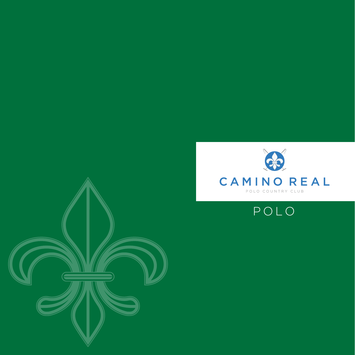



POLO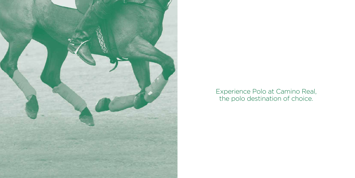

Experience Polo at Camino Real, the polo destination of choice.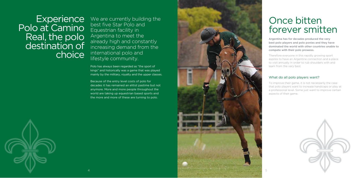## Once bitten forever smitten

Argentina has for decades produced the very best polo players and polo ponies and they have dominated the world with other countries unable to compete with their polo prowess.

Therefore everyone in this rapidly growing sport aspires to have an Argentine connection and a place to visit annually in order to rub shoulders with and learn from the very best.

#### What do all polo players want?





We are currently building the best five Star Polo and Equestrian facility in Argentina to meet the already high and constantly increasing demand from the international polo and lifestyle community.

> To improve their game, it is not necessarily the case that polo players want to increase handicaps or play at a professional level. Some just want to improve certain aspects of their game.



**Experience** Polo at Camino Real, the polo destination of choice

> Polo has always been regarded as "the sport of kings" and historically was a game that was played mainly by the military, royalty and the upper classes.

Because of the entry level costs of polo for decades it has remained an elitist pastime but not anymore. More and more people throughout the world are taking up equestrian based sports and the more and more of these are turning to polo.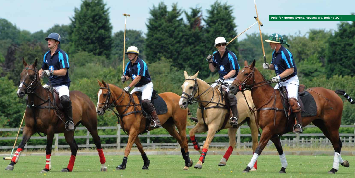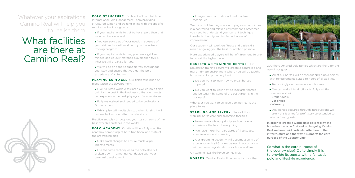**POLO STRUCTURE** On hand will be a full time International Polo Management Team providing structured tuition and training in line with the specific requirements of our guests:

- $\blacksquare$  If your aspiration is to get better at polo then that is our aspiration as well.
- You can advise us of your needs in advance of your visit and we will work with you to devise a training program.
- $\blacksquare$  If your aspiration is to play polo amongst like minded and equally matched players then this is what we will organise for you.
- We will be on hand to support you throughout your stay and ensure that you get the polo experience of a lifetime.

**PLAYING SURFACES** Our fields take pride of place within the development:

- Five full sized world class laser levelled polo fields built by the best in the business so that our guests can experience the best playing surfaces available.
- **Fully maintained and tended to by professional** Grounds men.
- Whilst play will inevitably stop when it rains it will resume half an hour after the rain stops.

**POLO ACADEMY** On site will be a fully specified academy comprising of both traditional and state of the art training aids:

- Make small changes to ensure much larger improvements.
- Use the same techniques as the polo elite but broken down in a manner conducive with your personal development.

Using a blend of traditional and modern techniques.

We think that learning is about trying new techniques in a controlled and relaxed environment. Sometimes you need to understand your current technique in order to identify and implement areas of improvement.

Practice and play throughout your stay on some of the best available surfaces in the world.

- Do you want to learn how to break horses properly?
- Do you want to learn how to look after horses and be taught by some of the best grooms in the business?

**STABLING AND LIVERY** State of the art stabling, horse care and grooming facilities:

- Horse welfare is our priority and our horses experience the best of everything.
- We have more than 350 acres of free space. exercise areas and corralling.
- Our grooming academy will become a centre of excellence with all Grooms trained in accordance with our exacting standards for horse welfare.
- All of our horses will be thoroughbred polo ponies with temperaments suited to riders of all abilities.
- Refreshingly our horses are not for sale.
- We can make introductions to fully certified breeders and will:
- Broker deals
- Vet check
- Warranty
- Any horses acquired through introductions we make – this is a not for profit service extended to international guests.

Our academy will work on fitness and basic skills aimed at giving you the best foundation possible.

### What facilities are there at Camino Real?



More experienced players will benefit from one to one tuition at the highest level.

#### **EQUESTRIAN TRAINING CENTRE** Our

Equestrian training centre will create a controlled and more intimate environment where you will be taught horsemanship by the very best

Whatever you want to achieve Camino Real is the place to learn

On Camino Real the horse comes first.

**HORSES** Camino Real will be home to more than

200 thoroughbred polo ponies which are there for the use of our guests:

In order to create a world class polo facility the horse has to come first and in designing Camino Real we have paid particular attention to the infrastructure and the way it supports the core purpose of the Country Club.

So what is the core purpose of the country club? Quite simply it is to provide its guests with a fantastic polo and lifestyle experience.



Whatever your aspirations Camino Real will help you to realise them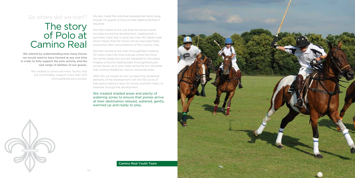### The story of Polo at Camino Real

We also made the individual development plots large enough for guests to have private stabling facilities if required.

We then looked at the way that the horses would circulate around the development creating both a perimeter track that is never less than 40 metres wide, which means that the horses can be exercised freely around the 14km circumference of the Country Club.

We then looked at the main thoroughfares creating 30 metre wide tree lined avenues where the horse has centre stage and cars are relegated to the edges. Imagine a Gaucho leading eight thoroughbred polo ponies slowly up to polo fields along the two kilometer main avenue shaded by mature Jacaranda trees.

We started by understanding how many horses we would need to have liveried at any one time in order to fully support the polo activity and the vast range of abilities of our guests.

> We created a communal livery facility that will comfortably support more than 200 thoroughbred polo ponies.

After this we looked at how we blend the residential elements of the development with the 350 acres of free space making it easy for horses, and their riders, to meander through the development.

We created shaded areas and plenty of watering zones to ensure that ponies arrive at their destination relaxed, watered, gently warmed up and ready to play.

### So where did we start?



Camino Real Youth Team

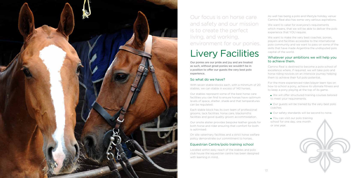Our ponies are our pride and joy and are treated as such, without great ponies we wouldn't be in a position to offer our guests the very best polo experience.

### So what do we have?

With seven stable blocks each, with a minimum of 20 stables, we can stable in excess of 140 horses.

Our stables represent some of the best horse care facilities you can find to ensure horses have optimum levels of space, shelter, shade and that temperatures can be regulated.

Each stable block has its own team of professional grooms, tack facilities, horse care, blacksmiths facilities and good quality groom accommodation.

Our onsite atelier provides bespoke leather goods for both horse and rider ensuring that comfort for both is optimised.

On site veterinary facilities and a strict horse welfare policy demonstrate our commitment to horses.

We want to make the very best coaches, ponies, players and facilities accessible to the international polo community and we want to pass on some of the skills that have made Argentina the undisputed polo capital of the world.

### Equestrian Centre/polo training school

Located within easy reach of the stables and polo club house the equestrian centre has been designed with learning in mind.



# Livery Facilities

Our focus is on horse care and safety and our mission is to create the perfect living, and working, environment for our ponies.

- We will offer structured training courses tailored to meet your requirements.
- Our guests will be trained by the very best polo coaches.
- Our safety standards will be second to none.
- You can visit our polo training school for one day, one month or one year.



As well has being a polo and lifestyle holiday venue Camino Real also has some very serious aspirations.

We want to cater for everyone's requirements which means, that we will be able to deliver the polo experience that YOU require.

#### Whatever your ambitions we will help you to achieve them.

Camino Real is destined to become a polo school of excellence where, if required, we will take polo and horse riding novices on an intensive journey helping them to achieve their full polo potential.

For the more experienced rider/player learn tips on how to school a pony, achieve its ultimate fitness and to keep a pony playing at the top of its game.